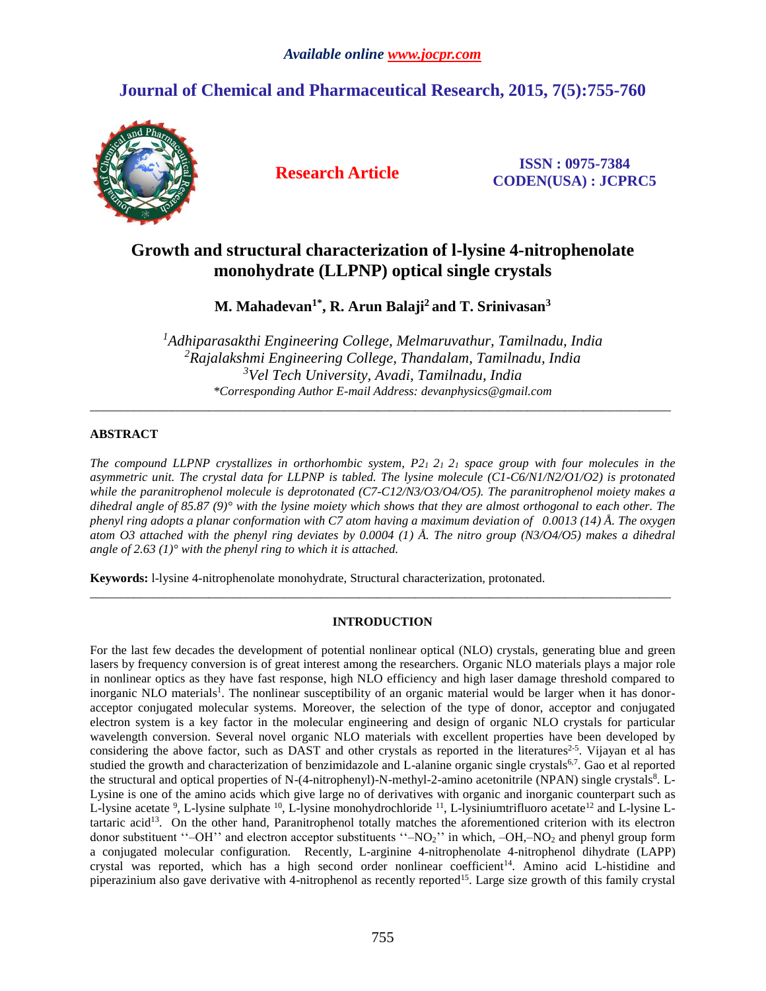# *Available online [www.jocpr.com](http://www.jocpr.com/)*

# **Journal of Chemical and Pharmaceutical Research, 2015, 7(5):755-760**



**Research Article ISSN : 0975-7384 CODEN(USA) : JCPRC5**

# **Growth and structural characterization of l-lysine 4-nitrophenolate monohydrate (LLPNP) optical single crystals**

# **M. Mahadevan1\* , R. Arun Balaji<sup>2</sup> and T. Srinivasan<sup>3</sup>**

*Adhiparasakthi Engineering College, Melmaruvathur, Tamilnadu, India Rajalakshmi Engineering College, Thandalam, Tamilnadu, India Vel Tech University, Avadi, Tamilnadu, India \*Corresponding Author E-mail Address: devanphysics@gmail.com*

 $\_$  ,  $\_$  ,  $\_$  ,  $\_$  ,  $\_$  ,  $\_$  ,  $\_$  ,  $\_$  ,  $\_$  ,  $\_$  ,  $\_$  ,  $\_$  ,  $\_$  ,  $\_$  ,  $\_$  ,  $\_$  ,  $\_$  ,  $\_$  ,  $\_$  ,  $\_$  ,  $\_$  ,  $\_$  ,  $\_$  ,  $\_$  ,  $\_$  ,  $\_$  ,  $\_$  ,  $\_$  ,  $\_$  ,  $\_$  ,  $\_$  ,  $\_$  ,  $\_$  ,  $\_$  ,  $\_$  ,  $\_$  ,  $\_$  ,

# **ABSTRACT**

*The compound LLPNP crystallizes in orthorhombic system, P21 21 2<sup>1</sup> space group with four molecules in the asymmetric unit. The crystal data for LLPNP is tabled. The lysine molecule (C1-C6/N1/N2/O1/O2) is protonated while the paranitrophenol molecule is deprotonated (C7-C12/N3/O3/O4/O5). The paranitrophenol moiety makes a dihedral angle of 85.87 (9)° with the lysine moiety which shows that they are almost orthogonal to each other. The phenyl ring adopts a planar conformation with C7 atom having a maximum deviation of 0.0013 (14) Å. The oxygen atom O3 attached with the phenyl ring deviates by 0.0004 (1) Å. The nitro group (N3/O4/O5) makes a dihedral angle of 2.63 (1)° with the phenyl ring to which it is attached.*

**Keywords:** l-lysine 4-nitrophenolate monohydrate, Structural characterization, protonated.

## **INTRODUCTION**

\_\_\_\_\_\_\_\_\_\_\_\_\_\_\_\_\_\_\_\_\_\_\_\_\_\_\_\_\_\_\_\_\_\_\_\_\_\_\_\_\_\_\_\_\_\_\_\_\_\_\_\_\_\_\_\_\_\_\_\_\_\_\_\_\_\_\_\_\_\_\_\_\_\_\_\_\_\_\_\_\_\_\_\_\_\_\_\_\_\_\_\_\_

For the last few decades the development of potential nonlinear optical (NLO) crystals, generating blue and green lasers by frequency conversion is of great interest among the researchers. Organic NLO materials plays a major role in nonlinear optics as they have fast response, high NLO efficiency and high laser damage threshold compared to inorganic NLO materials<sup>1</sup>. The nonlinear susceptibility of an organic material would be larger when it has donoracceptor conjugated molecular systems. Moreover, the selection of the type of donor, acceptor and conjugated electron system is a key factor in the molecular engineering and design of organic NLO crystals for particular wavelength conversion. Several novel organic NLO materials with excellent properties have been developed by considering the above factor, such as DAST and other crystals as reported in the literatures<sup>2-5</sup>. Vijayan et al has studied the growth and characterization of benzimidazole and L-alanine organic single crystals<sup>6,7</sup>. Gao et al reported the structural and optical properties of N-(4-nitrophenyl)-N-methyl-2-amino acetonitrile (NPAN) single crystals<sup>8</sup>. L-Lysine is one of the amino acids which give large no of derivatives with organic and inorganic counterpart such as L-lysine acetate <sup>9</sup>, L-lysine sulphate  $^{10}$ , L-lysine monohydrochloride  $^{11}$ , L-lysiniumtrifluoro acetate  $^{12}$  and L-lysine Ltartaric acid<sup>13</sup>. On the other hand, Paranitrophenol totally matches the aforementioned criterion with its electron donor substituent "–OH" and electron acceptor substituents "–NO<sub>2</sub>" in which, –OH,–NO<sub>2</sub> and phenyl group form a conjugated molecular configuration. Recently, L-arginine 4-nitrophenolate 4-nitrophenol dihydrate (LAPP) crystal was reported, which has a high second order nonlinear coefficient<sup>14</sup>. Amino acid L-histidine and piperazinium also gave derivative with 4-nitrophenol as recently reported<sup>15</sup>. Large size growth of this family crystal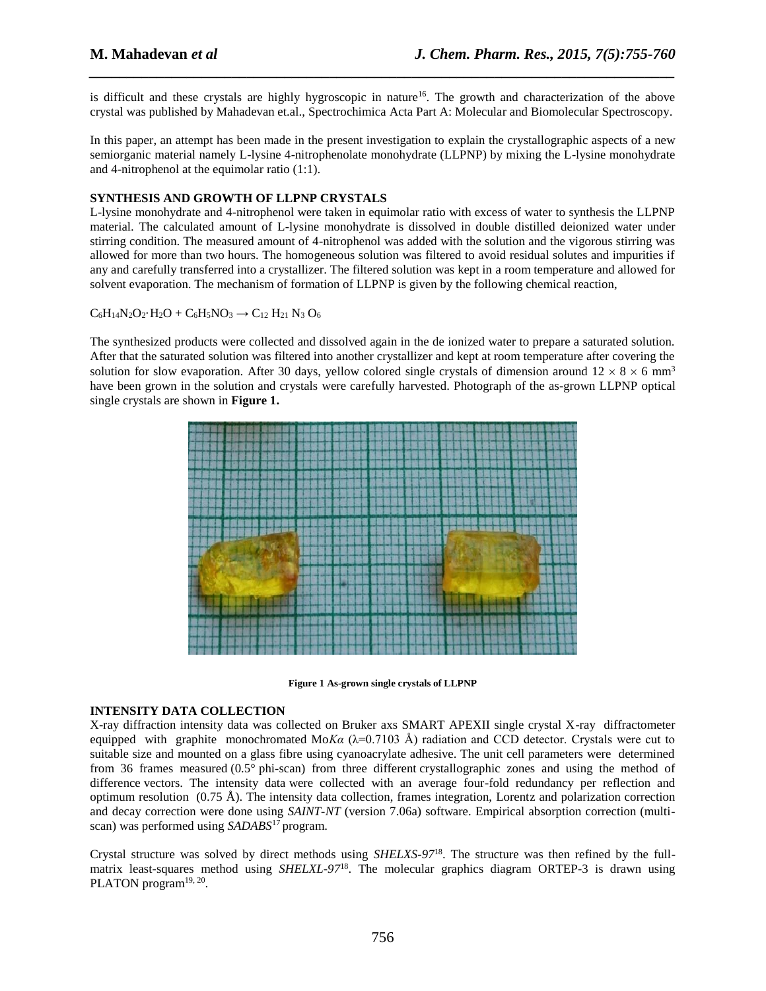is difficult and these crystals are highly hygroscopic in nature<sup>16</sup>. The growth and characterization of the above crystal was published by Mahadevan et.al., Spectrochimica Acta Part A: Molecular and Biomolecular Spectroscopy.

*\_\_\_\_\_\_\_\_\_\_\_\_\_\_\_\_\_\_\_\_\_\_\_\_\_\_\_\_\_\_\_\_\_\_\_\_\_\_\_\_\_\_\_\_\_\_\_\_\_\_\_\_\_\_\_\_\_\_\_\_\_\_\_\_\_\_\_\_\_\_\_\_\_\_\_\_\_\_*

In this paper, an attempt has been made in the present investigation to explain the crystallographic aspects of a new semiorganic material namely L-lysine 4-nitrophenolate monohydrate (LLPNP) by mixing the L-lysine monohydrate and 4-nitrophenol at the equimolar ratio (1:1).

#### **SYNTHESIS AND GROWTH OF LLPNP CRYSTALS**

L-lysine monohydrate and 4-nitrophenol were taken in equimolar ratio with excess of water to synthesis the LLPNP material. The calculated amount of L-lysine monohydrate is dissolved in double distilled deionized water under stirring condition. The measured amount of 4-nitrophenol was added with the solution and the vigorous stirring was allowed for more than two hours. The homogeneous solution was filtered to avoid residual solutes and impurities if any and carefully transferred into a crystallizer. The filtered solution was kept in a room temperature and allowed for solvent evaporation. The mechanism of formation of LLPNP is given by the following chemical reaction,

 $C_6H_{14}N_2O_2 \cdot H_2O + C_6H_5NO_3 \rightarrow C_{12}H_{21}N_3 O_6$ 

The synthesized products were collected and dissolved again in the de ionized water to prepare a saturated solution. After that the saturated solution was filtered into another crystallizer and kept at room temperature after covering the solution for slow evaporation. After 30 days, yellow colored single crystals of dimension around  $12 \times 8 \times 6$  mm<sup>3</sup> have been grown in the solution and crystals were carefully harvested. Photograph of the as-grown LLPNP optical single crystals are shown in **Figure 1.**



**Figure 1 As-grown single crystals of LLPNP**

### **INTENSITY DATA COLLECTION**

X-ray diffraction intensity data was collected on Bruker axs SMART APEXII single crystal X-ray diffractometer equipped with graphite monochromated Mo*Ka*  $(\lambda=0.7103 \text{ Å})$  radiation and CCD detector. Crystals were cut to suitable size and mounted on a glass fibre using cyanoacrylate adhesive. The unit cell parameters were determined from 36 frames measured (0.5° phi-scan) from three different crystallographic zones and using the method of difference vectors. The intensity data were collected with an average four-fold redundancy per reflection and optimum resolution  $(0.75 \text{ Å})$ . The intensity data collection, frames integration, Lorentz and polarization correction and decay correction were done using *SAINT-NT* (version 7.06a) software. Empirical absorption correction (multiscan) was performed using *SADABS*<sup>17</sup> program.

Crystal structure was solved by direct methods using *SHELXS-97*18. The structure was then refined by the fullmatrix least-squares method using *SHELXL-97*<sup>18</sup> . The molecular graphics diagram ORTEP-3 is drawn using PLATON program<sup>19, 20</sup>.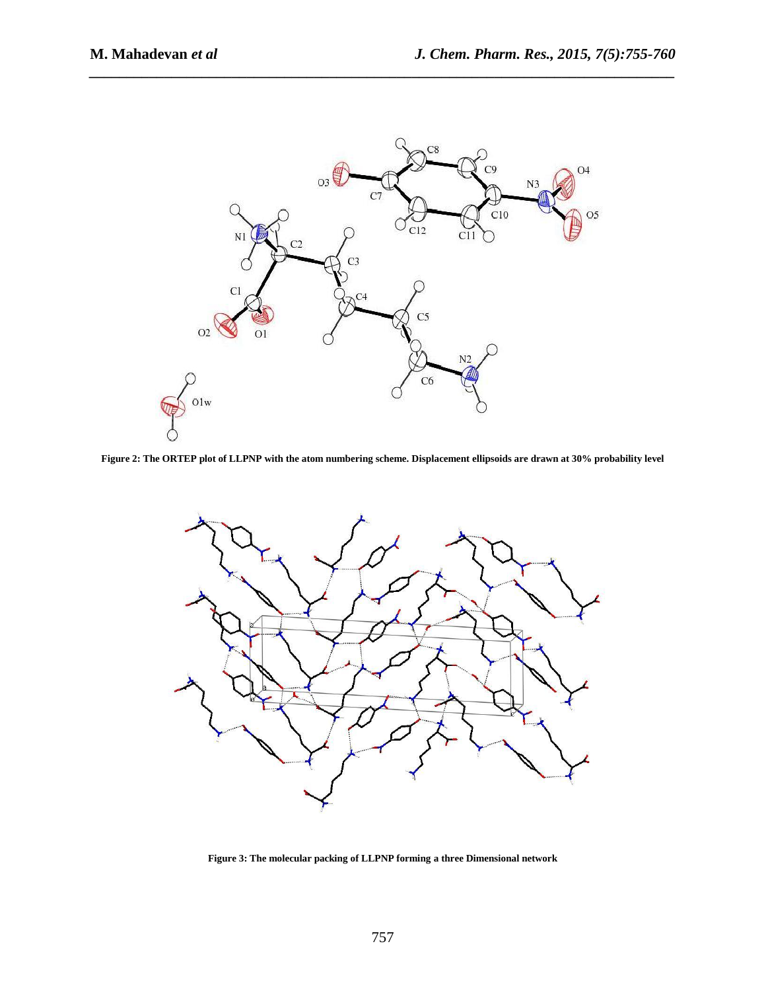

*\_\_\_\_\_\_\_\_\_\_\_\_\_\_\_\_\_\_\_\_\_\_\_\_\_\_\_\_\_\_\_\_\_\_\_\_\_\_\_\_\_\_\_\_\_\_\_\_\_\_\_\_\_\_\_\_\_\_\_\_\_\_\_\_\_\_\_\_\_\_\_\_\_\_\_\_\_\_*

**Figure 2: The ORTEP plot of LLPNP with the atom numbering scheme. Displacement ellipsoids are drawn at 30% probability level**



**Figure 3: The molecular packing of LLPNP forming a three Dimensional network**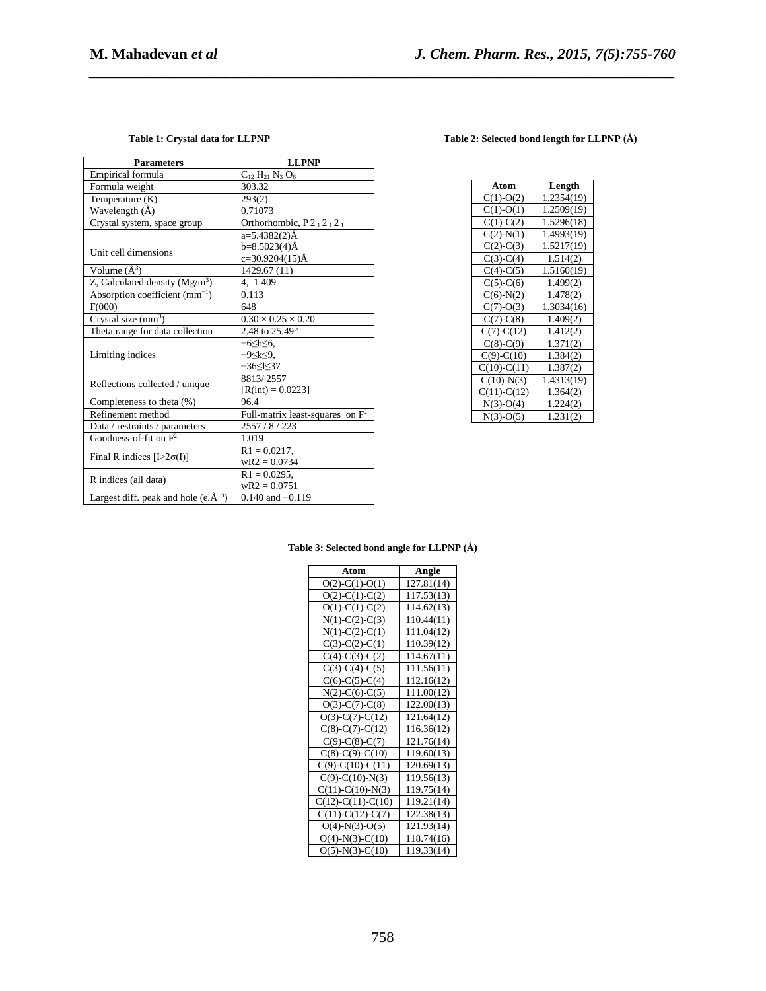| <b>Parameters</b>                            | <b>LLPNP</b>                       |
|----------------------------------------------|------------------------------------|
| Empirical formula                            | $C_{12} H_{21} N_3 O_6$            |
| Formula weight                               | 303.32                             |
| Temperature (K)                              | 293(2)                             |
| Wavelength (Å)                               | 0.71073                            |
| Crystal system, space group                  | Orthorhombic, P212121              |
|                                              | a=5.4382(2)Å                       |
|                                              | b=8.5023(4)Å                       |
| Unit cell dimensions                         | $c=30.9204(15)$ Å                  |
| Volume $(A^3)$                               | 1429.67 (11)                       |
| Z, Calculated density $(Mg/m3)$              | 4, 1.409                           |
| Absorption coefficient $(mm^{-1})$           | 0.113                              |
| F(000)                                       | 648                                |
| Crystal size $(mm^3)$                        | $0.30 \times 0.25 \times 0.20$     |
| Theta range for data collection              | 2.48 to 25.49°                     |
|                                              | $-6$ $\leq$ h $\leq$ 6.            |
| Limiting indices                             | $-9 \leq k \leq 9$ .               |
|                                              | $-36<$ $<$ 37                      |
| Reflections collected / unique               | 8813/2557                          |
|                                              | $[R(int) = 0.0223]$                |
| Completeness to theta (%)                    | 96.4                               |
| Refinement method                            | Full-matrix least-squares on $F^2$ |
| Data / restraints / parameters               | 2557/8/223                         |
| Goodness-of-fit on $F^2$                     | 1.019                              |
| Final R indices $[1>2\sigma(I)]$             | $R1 = 0.0217$ ,                    |
|                                              | $wR2 = 0.0734$                     |
| R indices (all data)                         | $R1 = 0.0295$ ,                    |
|                                              | $wR2 = 0.0751$                     |
| Largest diff. peak and hole (e. $\AA^{-3}$ ) | $0.140$ and $-0.119$               |

# **Table 1: Crystal data for LLPNP Table 2: Selected bond length for LLPNP (Å)**

| Atom             | Length     |
|------------------|------------|
| $C(1)-O(2)$      | 1.2354(19) |
| $C(1)-O(1)$      | 1.2509(19) |
| $C(1)-C(2)$      | 1.5296(18) |
| $C(2)-N(1)$      | 1.4993(19) |
| $C(2)-C(3)$      | 1.5217(19) |
| $C(3)-C(4)$      | 1.514(2)   |
| $C(4)-C(5)$      | 1.5160(19) |
| $C(5)-C(6)$      | 1.499(2)   |
| $C(6)-N(2)$      | 1.478(2)   |
| $C(7)-O(3)$      | 1.3034(16) |
| $C(7)-C(8)$      | 1.409(2)   |
| $C(7)$ - $C(12)$ | 1.412(2)   |
| $C(8)$ - $C(9)$  | 1.371(2)   |
| $C(9)-C(10)$     | 1.384(2)   |
| $C(10)-C(11)$    | 1.387(2)   |
| $C(10)-N(3)$     | 1.4313(19) |
| $C(11)-C(12)$    | 1.364(2)   |
| $N(3)-O(4)$      | 1.224(2)   |
| $N(3)-O(5)$      | 1.231(2)   |

# **Table 3: Selected bond angle for LLPNP (Å)**

*\_\_\_\_\_\_\_\_\_\_\_\_\_\_\_\_\_\_\_\_\_\_\_\_\_\_\_\_\_\_\_\_\_\_\_\_\_\_\_\_\_\_\_\_\_\_\_\_\_\_\_\_\_\_\_\_\_\_\_\_\_\_\_\_\_\_\_\_\_\_\_\_\_\_\_\_\_\_*

| Atom                | Angle      |
|---------------------|------------|
| $O(2)$ -C(1)-O(1)   | 127.81(14) |
| $O(2)$ -C(1)-C(2)   | 117.53(13) |
| $O(1)$ -C(1)-C(2)   | 114.62(13) |
| $N(1)-C(2)-C(3)$    | 110.44(11) |
| $N(1)-C(2)-C(1)$    | 111.04(12) |
| $C(3)-C(2)-C(1)$    | 110.39(12) |
| $C(4)-C(3)-C(2)$    | 114.67(11) |
| $C(3)-C(4)-C(5)$    | 111.56(11) |
| $C(6)-C(5)-C(4)$    | 112.16(12) |
| $N(2)-C(6)-C(5)$    | 111.00(12) |
| $O(3)-C(7)-C(8)$    | 122.00(13) |
| $O(3)-C(7)-C(12)$   | 121.64(12) |
| $C(8)-C(7)-C(12)$   | 116.36(12) |
| $C(9)-C(8)-C(7)$    | 121.76(14) |
| $C(8)-C(9)-C(10)$   | 119.60(13) |
| $C(9)-C(10)-C(11)$  | 120.69(13) |
| $C(9)$ -C(10)-N(3)  | 119.56(13) |
| $C(11)-C(10)-N(3)$  | 119.75(14) |
| $C(12)-C(11)-C(10)$ | 119.21(14) |
| $C(11)-C(12)-C(7)$  | 122.38(13) |
| $O(4)$ -N(3)-O(5)   | 121.93(14) |
| $O(4)$ -N(3)-C(10)  | 118.74(16) |
| $O(5)$ -N(3)-C(10)  | 119.33(14) |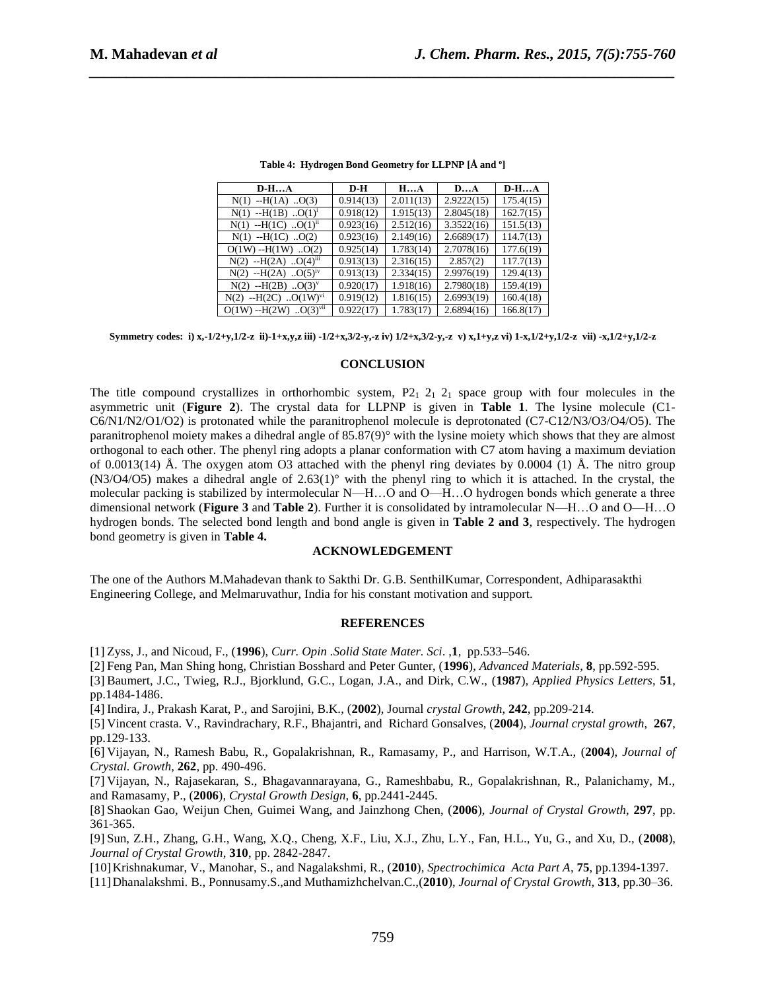| $D-HA$                             | $D-H$     | HA        | DA         | $D-HA$    |
|------------------------------------|-----------|-----------|------------|-----------|
| $-H(1A)$ O(3)<br>N(1)              | 0.914(13) | 2.011(13) | 2.9222(15) | 175.4(15) |
| $-H(1B)$ $O(1)^1$<br>N(1)          | 0.918(12) | 1.915(13) | 2.8045(18) | 162.7(15) |
| $N(1)$ --H(1C) 0(1) <sup>n</sup>   | 0.923(16) | 2.512(16) | 3.3522(16) | 151.5(13) |
| $-H(1C)$ $O(2)$<br>N(1)            | 0.923(16) | 2.149(16) | 2.6689(17) | 114.7(13) |
| $O(1W) - H(1W)$<br>$\cdot$ .O(2)   | 0.925(14) | 1.783(14) | 2.7078(16) | 177.6(19) |
| $-H(2A)$ $O(4)^{m}$<br>N(2)        | 0.913(13) | 2.316(15) | 2.857(2)   | 117.7(13) |
| $-H(2A)$ $O(5)^{IV}$<br>N(2)       | 0.913(13) | 2.334(15) | 2.9976(19) | 129.4(13) |
| $-H(2B)$ 0(3) <sup>v</sup><br>N(2) | 0.920(17) | 1.918(16) | 2.7980(18) | 159.4(19) |
| $-H(2C)$ $O(1W)^{VI}$<br>N(2)      | 0.919(12) | 1.816(15) | 2.6993(19) | 160.4(18) |
| $O(1W) - H(2W)$ $O(3)^{vii}$       | 0.922(17) | 1.783(17) | 2.6894(16) | 166.8(17) |

| Table 4: Hydrogen Bond Geometry for LLPNP [Å and °] |  |  |  |
|-----------------------------------------------------|--|--|--|
|                                                     |  |  |  |

*\_\_\_\_\_\_\_\_\_\_\_\_\_\_\_\_\_\_\_\_\_\_\_\_\_\_\_\_\_\_\_\_\_\_\_\_\_\_\_\_\_\_\_\_\_\_\_\_\_\_\_\_\_\_\_\_\_\_\_\_\_\_\_\_\_\_\_\_\_\_\_\_\_\_\_\_\_\_*

**Symmetry codes: i) x,-1/2+y,1/2-z ii)-1+x,y,z iii) -1/2+x,3/2-y,-z iv) 1/2+x,3/2-y,-z v) x,1+y,z vi) 1-x,1/2+y,1/2-z vii) -x,1/2+y,1/2-z**

#### **CONCLUSION**

The title compound crystallizes in orthorhombic system,  $P_{1}$   $2_1$   $2_1$  space group with four molecules in the asymmetric unit (**Figure 2**). The crystal data for LLPNP is given in **Table 1**. The lysine molecule (C1- C6/N1/N2/O1/O2) is protonated while the paranitrophenol molecule is deprotonated (C7-C12/N3/O3/O4/O5). The paranitrophenol moiety makes a dihedral angle of 85.87(9)° with the lysine moiety which shows that they are almost orthogonal to each other. The phenyl ring adopts a planar conformation with C7 atom having a maximum deviation of 0.0013(14) Å. The oxygen atom O3 attached with the phenyl ring deviates by 0.0004 (1) Å. The nitro group  $(N3/O4/O5)$  makes a dihedral angle of  $2.63(1)°$  with the phenyl ring to which it is attached. In the crystal, the molecular packing is stabilized by intermolecular N—H…O and O—H…O hydrogen bonds which generate a three dimensional network (**Figure 3** and **Table 2**). Further it is consolidated by intramolecular N—H…O and O—H…O hydrogen bonds. The selected bond length and bond angle is given in **Table 2 and 3**, respectively. The hydrogen bond geometry is given in **Table 4.** 

#### **ACKNOWLEDGEMENT**

The one of the Authors M.Mahadevan thank to Sakthi Dr. G.B. SenthilKumar, Correspondent, Adhiparasakthi Engineering College, and Melmaruvathur, India for his constant motivation and support.

#### **REFERENCES**

[1] Zyss, J., and Nicoud, F., (**1996**), *Curr. Opin .Solid State Mater. Sci*. ,**1**, pp.533–546.

[2] Feng Pan, Man Shing hong, Christian Bosshard and Peter Gunter, (**1996**), *Advanced Materials*, **8**, pp.592-595.

[3] Baumert, J.C., Twieg, R.J., Bjorklund, G.C., Logan, J.A., and Dirk, C.W., (**1987**), *Applied Physics Letters*, **51**, pp.1484-1486.

[4] Indira, J., Prakash Karat, P., and Sarojini, B.K., (**2002**), Journal *crystal Growth*, **242**, pp.209-214.

[5] Vincent crasta. V., Ravindrachary, R.F., Bhajantri, and Richard Gonsalves, (**2004**), *Journal crystal growth*, **267**, pp.129-133.

[6] Vijayan, N., Ramesh Babu, R., Gopalakrishnan, R., Ramasamy, P., and Harrison, W.T.A., (**2004**), *Journal of Crystal. Growth,* **262**, pp. 490-496.

[7] Vijayan, N., Rajasekaran, S., Bhagavannarayana, G., Rameshbabu, R., Gopalakrishnan, R., Palanichamy, M., and Ramasamy, P., (**2006**), *Crystal Growth Design*, **6**, pp.2441-2445.

[8] Shaokan Gao, Weijun Chen, Guimei Wang, and Jainzhong Chen, (**2006**), *Journal of Crystal Growth*, **297**, pp. 361-365.

[9] Sun, Z.H., Zhang, G.H., Wang, X.Q., Cheng, X.F., Liu, X.J., Zhu, L.Y., Fan, H.L., Yu, G., and Xu, D., (**2008**), *Journal of Crystal Growth*, **310**, pp. 2842-2847.

[10]Krishnakumar, V., Manohar, S., and Nagalakshmi, R., (**2010**), *Spectrochimica Acta Part A*, **75**, pp.1394-1397.

[11]Dhanalakshmi. B., Ponnusamy.S.,and Muthamizhchelvan.C.,(**2010**), *Journal of Crystal Growth,* **313**, pp.30–36.